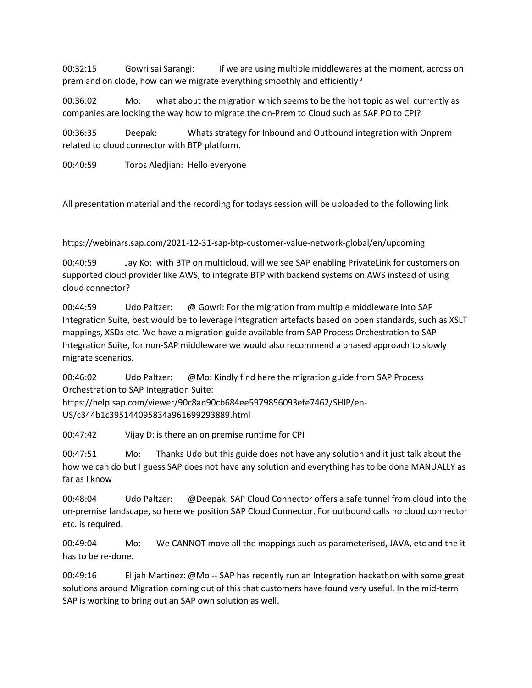00:32:15 Gowri sai Sarangi: If we are using multiple middlewares at the moment, across on prem and on clode, how can we migrate everything smoothly and efficiently?

00:36:02 Mo: what about the migration which seems to be the hot topic as well currently as companies are looking the way how to migrate the on-Prem to Cloud such as SAP PO to CPI?

00:36:35 Deepak: Whats strategy for Inbound and Outbound integration with Onprem related to cloud connector with BTP platform.

00:40:59 Toros Aledjian: Hello everyone

All presentation material and the recording for todays session will be uploaded to the following link

https://webinars.sap.com/2021-12-31-sap-btp-customer-value-network-global/en/upcoming

00:40:59 Jay Ko: with BTP on multicloud, will we see SAP enabling PrivateLink for customers on supported cloud provider like AWS, to integrate BTP with backend systems on AWS instead of using cloud connector?

00:44:59 Udo Paltzer: @ Gowri: For the migration from multiple middleware into SAP Integration Suite, best would be to leverage integration artefacts based on open standards, such as XSLT mappings, XSDs etc. We have a migration guide available from SAP Process Orchestration to SAP Integration Suite, for non-SAP middleware we would also recommend a phased approach to slowly migrate scenarios.

00:46:02 Udo Paltzer: @Mo: Kindly find here the migration guide from SAP Process Orchestration to SAP Integration Suite:

https://help.sap.com/viewer/90c8ad90cb684ee5979856093efe7462/SHIP/en-US/c344b1c395144095834a961699293889.html

00:47:42 Vijay D: is there an on premise runtime for CPI

00:47:51 Mo: Thanks Udo but this guide does not have any solution and it just talk about the how we can do but I guess SAP does not have any solution and everything has to be done MANUALLY as far as I know

00:48:04 Udo Paltzer: @Deepak: SAP Cloud Connector offers a safe tunnel from cloud into the on-premise landscape, so here we position SAP Cloud Connector. For outbound calls no cloud connector etc. is required.

00:49:04 Mo: We CANNOT move all the mappings such as parameterised, JAVA, etc and the it has to be re-done.

00:49:16 Elijah Martinez: @Mo -- SAP has recently run an Integration hackathon with some great solutions around Migration coming out of this that customers have found very useful. In the mid-term SAP is working to bring out an SAP own solution as well.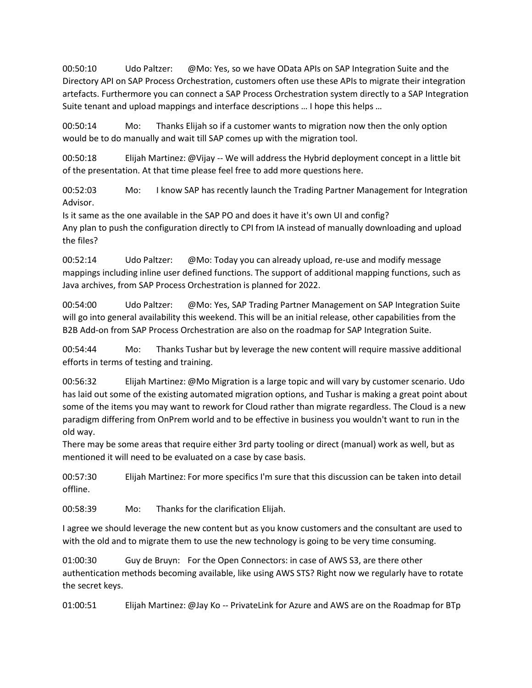00:50:10 Udo Paltzer: @Mo: Yes, so we have OData APIs on SAP Integration Suite and the Directory API on SAP Process Orchestration, customers often use these APIs to migrate their integration artefacts. Furthermore you can connect a SAP Process Orchestration system directly to a SAP Integration Suite tenant and upload mappings and interface descriptions … I hope this helps …

00:50:14 Mo: Thanks Elijah so if a customer wants to migration now then the only option would be to do manually and wait till SAP comes up with the migration tool.

00:50:18 Elijah Martinez: @Vijay -- We will address the Hybrid deployment concept in a little bit of the presentation. At that time please feel free to add more questions here.

00:52:03 Mo: I know SAP has recently launch the Trading Partner Management for Integration Advisor.

Is it same as the one available in the SAP PO and does it have it's own UI and config? Any plan to push the configuration directly to CPI from IA instead of manually downloading and upload the files?

00:52:14 Udo Paltzer: @Mo: Today you can already upload, re-use and modify message mappings including inline user defined functions. The support of additional mapping functions, such as Java archives, from SAP Process Orchestration is planned for 2022.

00:54:00 Udo Paltzer: @Mo: Yes, SAP Trading Partner Management on SAP Integration Suite will go into general availability this weekend. This will be an initial release, other capabilities from the B2B Add-on from SAP Process Orchestration are also on the roadmap for SAP Integration Suite.

00:54:44 Mo: Thanks Tushar but by leverage the new content will require massive additional efforts in terms of testing and training.

00:56:32 Elijah Martinez: @Mo Migration is a large topic and will vary by customer scenario. Udo has laid out some of the existing automated migration options, and Tushar is making a great point about some of the items you may want to rework for Cloud rather than migrate regardless. The Cloud is a new paradigm differing from OnPrem world and to be effective in business you wouldn't want to run in the old way.

There may be some areas that require either 3rd party tooling or direct (manual) work as well, but as mentioned it will need to be evaluated on a case by case basis.

00:57:30 Elijah Martinez: For more specifics I'm sure that this discussion can be taken into detail offline.

00:58:39 Mo: Thanks for the clarification Elijah.

I agree we should leverage the new content but as you know customers and the consultant are used to with the old and to migrate them to use the new technology is going to be very time consuming.

01:00:30 Guy de Bruyn: For the Open Connectors: in case of AWS S3, are there other authentication methods becoming available, like using AWS STS? Right now we regularly have to rotate the secret keys.

01:00:51 Elijah Martinez: @Jay Ko -- PrivateLink for Azure and AWS are on the Roadmap for BTp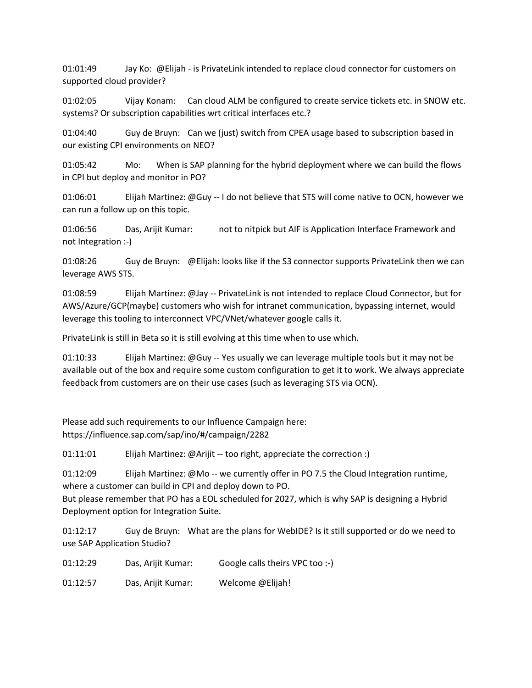01:01:49 Jay Ko: @Elijah - is PrivateLink intended to replace cloud connector for customers on supported cloud provider?

01:02:05 Vijay Konam: Can cloud ALM be configured to create service tickets etc. in SNOW etc. systems? Or subscription capabilities wrt critical interfaces etc.?

01:04:40 Guy de Bruyn: Can we (just) switch from CPEA usage based to subscription based in our existing CPI environments on NEO?

01:05:42 Mo: When is SAP planning for the hybrid deployment where we can build the flows in CPI but deploy and monitor in PO?

01:06:01 Elijah Martinez: @Guy -- I do not believe that STS will come native to OCN, however we can run a follow up on this topic.

01:06:56 Das, Arijit Kumar: not to nitpick but AIF is Application Interface Framework and not Integration :-)

01:08:26 Guy de Bruyn: @Elijah: looks like if the S3 connector supports PrivateLink then we can leverage AWS STS.

01:08:59 Elijah Martinez: @Jay -- PrivateLink is not intended to replace Cloud Connector, but for AWS/Azure/GCP(maybe) customers who wish for intranet communication, bypassing internet, would leverage this tooling to interconnect VPC/VNet/whatever google calls it.

PrivateLink is still in Beta so it is still evolving at this time when to use which.

01:10:33 Elijah Martinez: @Guy -- Yes usually we can leverage multiple tools but it may not be available out of the box and require some custom configuration to get it to work. We always appreciate feedback from customers are on their use cases (such as leveraging STS via OCN).

Please add such requirements to our Influence Campaign here: https://influence.sap.com/sap/ino/#/campaign/2282

01:11:01 Elijah Martinez: @Arijit -- too right, appreciate the correction :)

01:12:09 Elijah Martinez: @Mo -- we currently offer in PO 7.5 the Cloud Integration runtime, where a customer can build in CPI and deploy down to PO. But please remember that PO has a EOL scheduled for 2027, which is why SAP is designing a Hybrid

Deployment option for Integration Suite.

01:12:17 Guy de Bruyn: What are the plans for WebIDE? Is it still supported or do we need to use SAP Application Studio?

01:12:29 Das, Arijit Kumar: Google calls theirs VPC too :-)

01:12:57 Das, Arijit Kumar: Welcome @Elijah!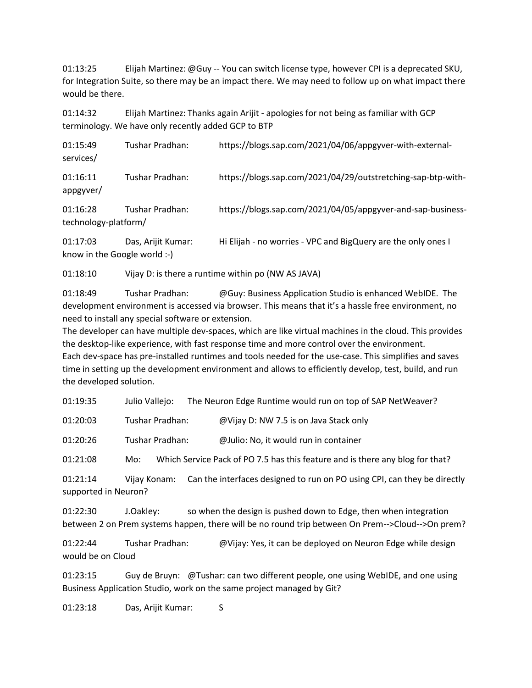01:13:25 Elijah Martinez: @Guy -- You can switch license type, however CPI is a deprecated SKU, for Integration Suite, so there may be an impact there. We may need to follow up on what impact there would be there.

01:14:32 Elijah Martinez: Thanks again Arijit - apologies for not being as familiar with GCP terminology. We have only recently added GCP to BTP

| 01:15:49<br>services/ | Tushar Pradhan: | https://blogs.sap.com/2021/04/06/appgyver-with-external-     |
|-----------------------|-----------------|--------------------------------------------------------------|
| 01:16:11<br>appgyver/ | Tushar Pradhan: | https://blogs.sap.com/2021/04/29/outstretching-sap-btp-with- |
| 01:16:28              | Tushar Pradhan: | https://blogs.sap.com/2021/04/05/appgyver-and-sap-business-  |

technology-platform/

01:17:03 Das, Arijit Kumar: Hi Elijah - no worries - VPC and BigQuery are the only ones I know in the Google world :-)

01:18:10 Vijay D: is there a runtime within po (NW AS JAVA)

01:18:49 Tushar Pradhan: @Guy: Business Application Studio is enhanced WebIDE. The development environment is accessed via browser. This means that it's a hassle free environment, no need to install any special software or extension.

The developer can have multiple dev-spaces, which are like virtual machines in the cloud. This provides the desktop-like experience, with fast response time and more control over the environment. Each dev-space has pre-installed runtimes and tools needed for the use-case. This simplifies and saves time in setting up the development environment and allows to efficiently develop, test, build, and run the developed solution.

01:19:35 Julio Vallejo: The Neuron Edge Runtime would run on top of SAP NetWeaver?

01:20:03 Tushar Pradhan: @Vijay D: NW 7.5 is on Java Stack only

01:20:26 Tushar Pradhan: @Julio: No, it would run in container

01:21:08 Mo: Which Service Pack of PO 7.5 has this feature and is there any blog for that?

01:21:14 Vijay Konam: Can the interfaces designed to run on PO using CPI, can they be directly supported in Neuron?

01:22:30 J.Oakley: so when the design is pushed down to Edge, then when integration between 2 on Prem systems happen, there will be no round trip between On Prem-->Cloud-->On prem?

01:22:44 Tushar Pradhan: @Vijay: Yes, it can be deployed on Neuron Edge while design would be on Cloud

01:23:15 Guy de Bruyn: @Tushar: can two different people, one using WebIDE, and one using Business Application Studio, work on the same project managed by Git?

01:23:18 Das, Arijit Kumar: S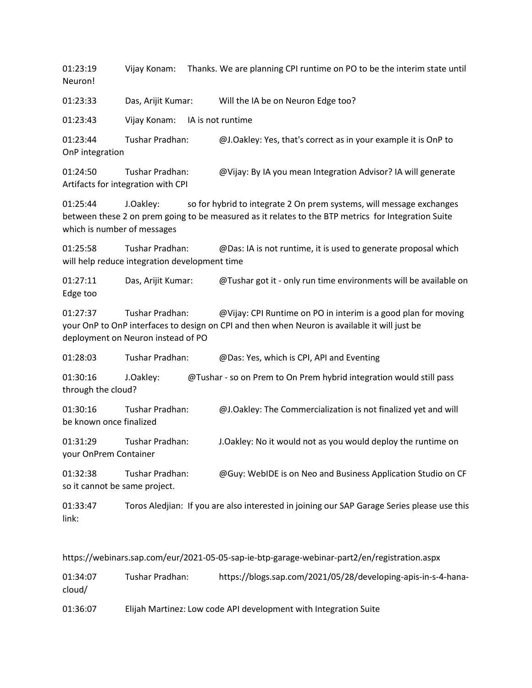01:23:19 Vijay Konam: Thanks. We are planning CPI runtime on PO to be the interim state until Neuron!

01:23:33 Das, Arijit Kumar: Will the IA be on Neuron Edge too?

01:23:43 Vijay Konam: IA is not runtime

01:23:44 Tushar Pradhan: @J.Oakley: Yes, that's correct as in your example it is OnP to OnP integration

01:24:50 Tushar Pradhan: @Vijay: By IA you mean Integration Advisor? IA will generate Artifacts for integration with CPI

01:25:44 J.Oakley: so for hybrid to integrate 2 On prem systems, will message exchanges between these 2 on prem going to be measured as it relates to the BTP metrics for Integration Suite which is number of messages

01:25:58 Tushar Pradhan: @Das: IA is not runtime, it is used to generate proposal which will help reduce integration development time

01:27:11 Das, Arijit Kumar: @Tushar got it - only run time environments will be available on Edge too

01:27:37 Tushar Pradhan: @Vijay: CPI Runtime on PO in interim is a good plan for moving your OnP to OnP interfaces to design on CPI and then when Neuron is available it will just be deployment on Neuron instead of PO

01:28:03 Tushar Pradhan: @Das: Yes, which is CPI, API and Eventing

01:30:16 J.Oakley: @Tushar - so on Prem to On Prem hybrid integration would still pass through the cloud?

01:30:16 Tushar Pradhan: @J.Oakley: The Commercialization is not finalized yet and will be known once finalized

01:31:29 Tushar Pradhan: J.Oakley: No it would not as you would deploy the runtime on your OnPrem Container

01:32:38 Tushar Pradhan: @Guy: WebIDE is on Neo and Business Application Studio on CF so it cannot be same project.

01:33:47 Toros Aledjian: If you are also interested in joining our SAP Garage Series please use this link:

https://webinars.sap.com/eur/2021-05-05-sap-ie-btp-garage-webinar-part2/en/registration.aspx

01:34:07 Tushar Pradhan: https://blogs.sap.com/2021/05/28/developing-apis-in-s-4-hanacloud/

01:36:07 Elijah Martinez: Low code API development with Integration Suite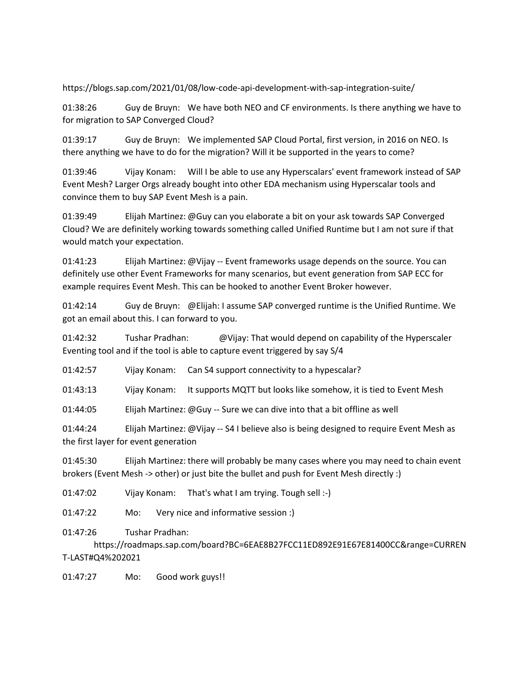https://blogs.sap.com/2021/01/08/low-code-api-development-with-sap-integration-suite/

01:38:26 Guy de Bruyn: We have both NEO and CF environments. Is there anything we have to for migration to SAP Converged Cloud?

01:39:17 Guy de Bruyn: We implemented SAP Cloud Portal, first version, in 2016 on NEO. Is there anything we have to do for the migration? Will it be supported in the years to come?

01:39:46 Vijay Konam: Will I be able to use any Hyperscalars' event framework instead of SAP Event Mesh? Larger Orgs already bought into other EDA mechanism using Hyperscalar tools and convince them to buy SAP Event Mesh is a pain.

01:39:49 Elijah Martinez: @Guy can you elaborate a bit on your ask towards SAP Converged Cloud? We are definitely working towards something called Unified Runtime but I am not sure if that would match your expectation.

01:41:23 Elijah Martinez: @Vijay -- Event frameworks usage depends on the source. You can definitely use other Event Frameworks for many scenarios, but event generation from SAP ECC for example requires Event Mesh. This can be hooked to another Event Broker however.

01:42:14 Guy de Bruyn: @Elijah: I assume SAP converged runtime is the Unified Runtime. We got an email about this. I can forward to you.

01:42:32 Tushar Pradhan: @Vijay: That would depend on capability of the Hyperscaler Eventing tool and if the tool is able to capture event triggered by say S/4

01:42:57 Vijay Konam: Can S4 support connectivity to a hypescalar?

01:43:13 Vijay Konam: It supports MQTT but looks like somehow, it is tied to Event Mesh

01:44:05 Elijah Martinez: @Guy -- Sure we can dive into that a bit offline as well

01:44:24 Elijah Martinez: @Vijay -- S4 I believe also is being designed to require Event Mesh as the first layer for event generation

01:45:30 Elijah Martinez: there will probably be many cases where you may need to chain event brokers (Event Mesh -> other) or just bite the bullet and push for Event Mesh directly :)

01:47:02 Vijay Konam: That's what I am trying. Tough sell :-)

01:47:22 Mo: Very nice and informative session :)

01:47:26 Tushar Pradhan:

https://roadmaps.sap.com/board?BC=6EAE8B27FCC11ED892E91E67E81400CC&range=CURREN T-LAST#Q4%202021

01:47:27 Mo: Good work guys!!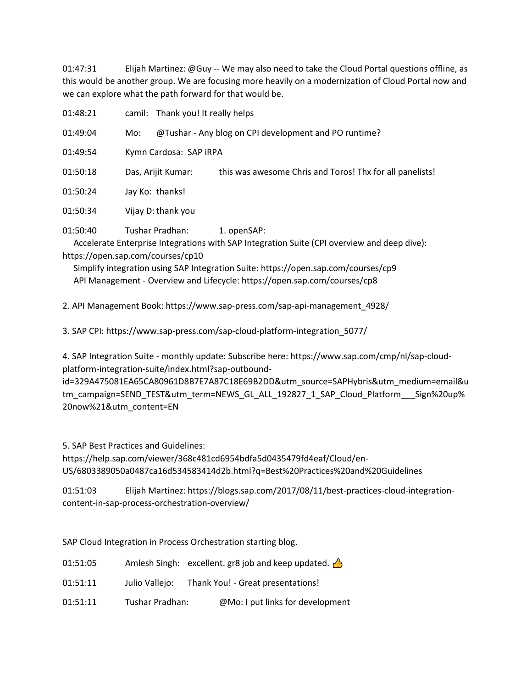01:47:31 Elijah Martinez: @Guy -- We may also need to take the Cloud Portal questions offline, as this would be another group. We are focusing more heavily on a modernization of Cloud Portal now and we can explore what the path forward for that would be.

| 01:48:21                                      |                        | camil: Thank you! It really helps |                                                                                                            |
|-----------------------------------------------|------------------------|-----------------------------------|------------------------------------------------------------------------------------------------------------|
| 01:49:04                                      | Mo:                    |                                   | @Tushar - Any blog on CPI development and PO runtime?                                                      |
| 01:49:54                                      | Kymn Cardosa: SAP iRPA |                                   |                                                                                                            |
| 01:50:18                                      |                        | Das, Arijit Kumar:                | this was awesome Chris and Toros! Thx for all panelists!                                                   |
| 01:50:24                                      |                        | Jay Ko: thanks!                   |                                                                                                            |
| 01:50:34                                      |                        | Vijay D: thank you                |                                                                                                            |
| 01:50:40<br>https://open.sap.com/courses/cp10 |                        | Tushar Pradhan:                   | 1. openSAP:<br>Accelerate Enterprise Integrations with SAP Integration Suite (CPI overview and deep dive): |

 Simplify integration using SAP Integration Suite: https://open.sap.com/courses/cp9 API Management - Overview and Lifecycle: https://open.sap.com/courses/cp8

2. API Management Book: https://www.sap-press.com/sap-api-management\_4928/

3. SAP CPI: https://www.sap-press.com/sap-cloud-platform-integration\_5077/

4. SAP Integration Suite - monthly update: Subscribe here: https://www.sap.com/cmp/nl/sap-cloudplatform-integration-suite/index.html?sap-outbound-

id=329A475081EA65CA80961D8B7E7A87C18E69B2DD&utm\_source=SAPHybris&utm\_medium=email&u tm\_campaign=SEND\_TEST&utm\_term=NEWS\_GL\_ALL\_192827\_1\_SAP\_Cloud\_Platform\_\_\_Sign%20up% 20now%21&utm\_content=EN

5. SAP Best Practices and Guidelines:

https://help.sap.com/viewer/368c481cd6954bdfa5d0435479fd4eaf/Cloud/en-US/6803389050a0487ca16d534583414d2b.html?q=Best%20Practices%20and%20Guidelines

01:51:03 Elijah Martinez: https://blogs.sap.com/2017/08/11/best-practices-cloud-integrationcontent-in-sap-process-orchestration-overview/

SAP Cloud Integration in Process Orchestration starting blog.

- 01:51:05 Amlesh Singh: excellent. gr8 job and keep updated.  $\sqrt{\frac{1}{2}}$
- 01:51:11 Julio Vallejo: Thank You! Great presentations!
- 01:51:11 Tushar Pradhan: @Mo: I put links for development